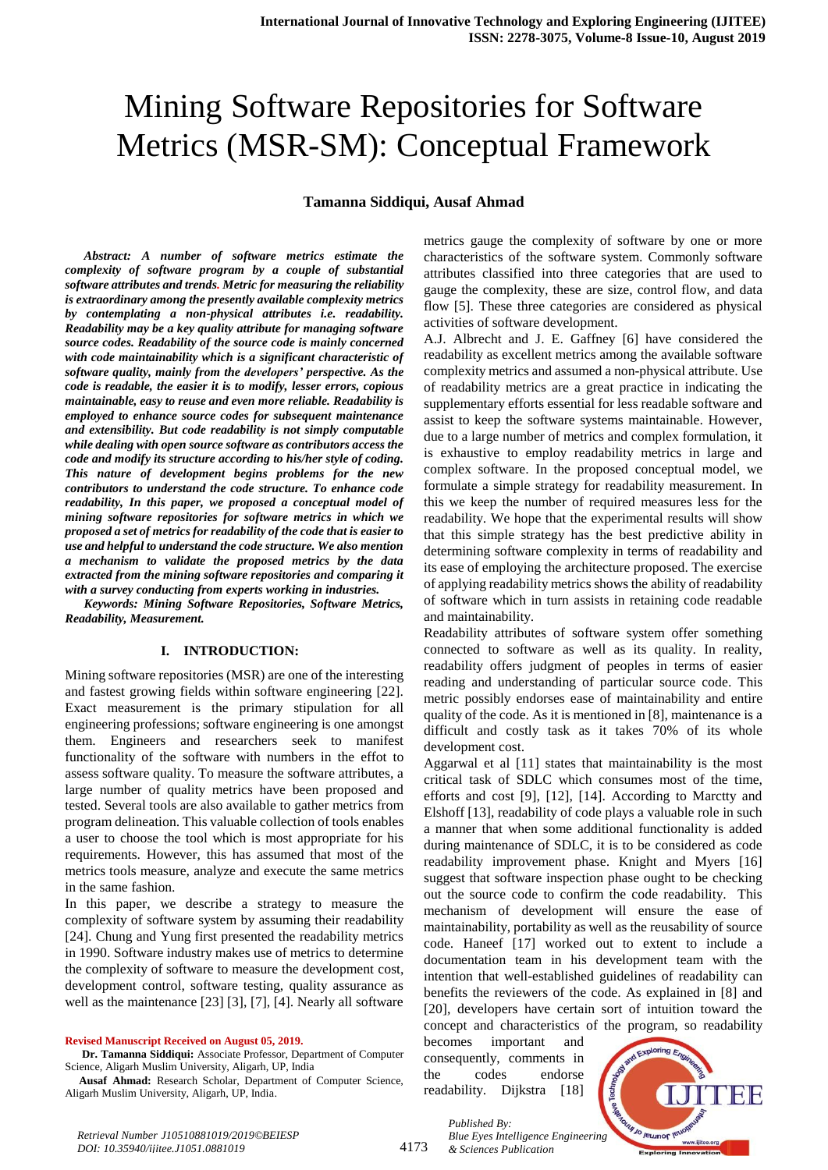# Mining Software Repositories for Software Metrics (MSR-SM): Conceptual Framework

#### **Tamanna Siddiqui, Ausaf Ahmad**

*Abstract: A number of software metrics estimate the complexity of software program by a couple of substantial software attributes and trends. Metric for measuring the reliability is extraordinary among the presently available complexity metrics by contemplating a non-physical attributes i.e. readability. Readability may be a key quality attribute for managing software source codes. Readability of the source code is mainly concerned with code maintainability which is a significant characteristic of software quality, mainly from the developers' perspective. As the code is readable, the easier it is to modify, lesser errors, copious maintainable, easy to reuse and even more reliable. Readability is employed to enhance source codes for subsequent maintenance and extensibility. But code readability is not simply computable while dealing with open source software as contributors access the code and modify its structure according to his/her style of coding. This nature of development begins problems for the new contributors to understand the code structure. To enhance code readability, In this paper, we proposed a conceptual model of mining software repositories for software metrics in which we proposed a set of metrics for readability of the code that is easier to use and helpful to understand the code structure. We also mention a mechanism to validate the proposed metrics by the data extracted from the mining software repositories and comparing it with a survey conducting from experts working in industries.*

*Keywords: Mining Software Repositories, Software Metrics, Readability, Measurement.*

#### **I. INTRODUCTION:**

Mining software repositories (MSR) are one of the interesting and fastest growing fields within software engineering [22]. Exact measurement is the primary stipulation for all engineering professions; software engineering is one amongst them. Engineers and researchers seek to manifest functionality of the software with numbers in the effot to assess software quality. To measure the software attributes, a large number of quality metrics have been proposed and tested. Several tools are also available to gather metrics from program delineation. This valuable collection of tools enables a user to choose the tool which is most appropriate for his requirements. However, this has assumed that most of the metrics tools measure, analyze and execute the same metrics in the same fashion.

In this paper, we describe a strategy to measure the complexity of software system by assuming their readability [24]. Chung and Yung first presented the readability metrics in 1990. Software industry makes use of metrics to determine the complexity of software to measure the development cost, development control, software testing, quality assurance as well as the maintenance [23] [3], [7], [4]. Nearly all software

**Revised Manuscript Received on August 05, 2019.**

**Dr. Tamanna Siddiqui:** Associate Professor, Department of Computer Science, Aligarh Muslim University, Aligarh, UP, India

**Ausaf Ahmad:** Research Scholar, Department of Computer Science, Aligarh Muslim University, Aligarh, UP, India.

metrics gauge the complexity of software by one or more characteristics of the software system. Commonly software attributes classified into three categories that are used to gauge the complexity, these are size, control flow, and data flow [5]. These three categories are considered as physical activities of software development.

A.J. Albrecht and J. E. Gaffney [6] have considered the readability as excellent metrics among the available software complexity metrics and assumed a non-physical attribute. Use of readability metrics are a great practice in indicating the supplementary efforts essential for less readable software and assist to keep the software systems maintainable. However, due to a large number of metrics and complex formulation, it is exhaustive to employ readability metrics in large and complex software. In the proposed conceptual model, we formulate a simple strategy for readability measurement. In this we keep the number of required measures less for the readability. We hope that the experimental results will show that this simple strategy has the best predictive ability in determining software complexity in terms of readability and its ease of employing the architecture proposed. The exercise of applying readability metrics shows the ability of readability of software which in turn assists in retaining code readable and maintainability.

Readability attributes of software system offer something connected to software as well as its quality. In reality, readability offers judgment of peoples in terms of easier reading and understanding of particular source code. This metric possibly endorses ease of maintainability and entire quality of the code. As it is mentioned in [8], maintenance is a difficult and costly task as it takes 70% of its whole development cost.

Aggarwal et al [11] states that maintainability is the most critical task of SDLC which consumes most of the time, efforts and cost [9], [12], [14]. According to Marctty and Elshoff [13], readability of code plays a valuable role in such a manner that when some additional functionality is added during maintenance of SDLC, it is to be considered as code readability improvement phase. Knight and Myers [16] suggest that software inspection phase ought to be checking out the source code to confirm the code readability. This mechanism of development will ensure the ease of maintainability, portability as well as the reusability of source code. Haneef [17] worked out to extent to include a documentation team in his development team with the intention that well-established guidelines of readability can benefits the reviewers of the code. As explained in [8] and [20], developers have certain sort of intuition toward the concept and characteristics of the program, so readability

becomes important and consequently, comments in the codes endorse readability. Dijkstra [18]



*Retrieval Number J10510881019/2019©BEIESP DOI: 10.35940/ijitee.J1051.0881019*

*Published By: Blue Eyes Intelligence Engineering & Sciences Publication*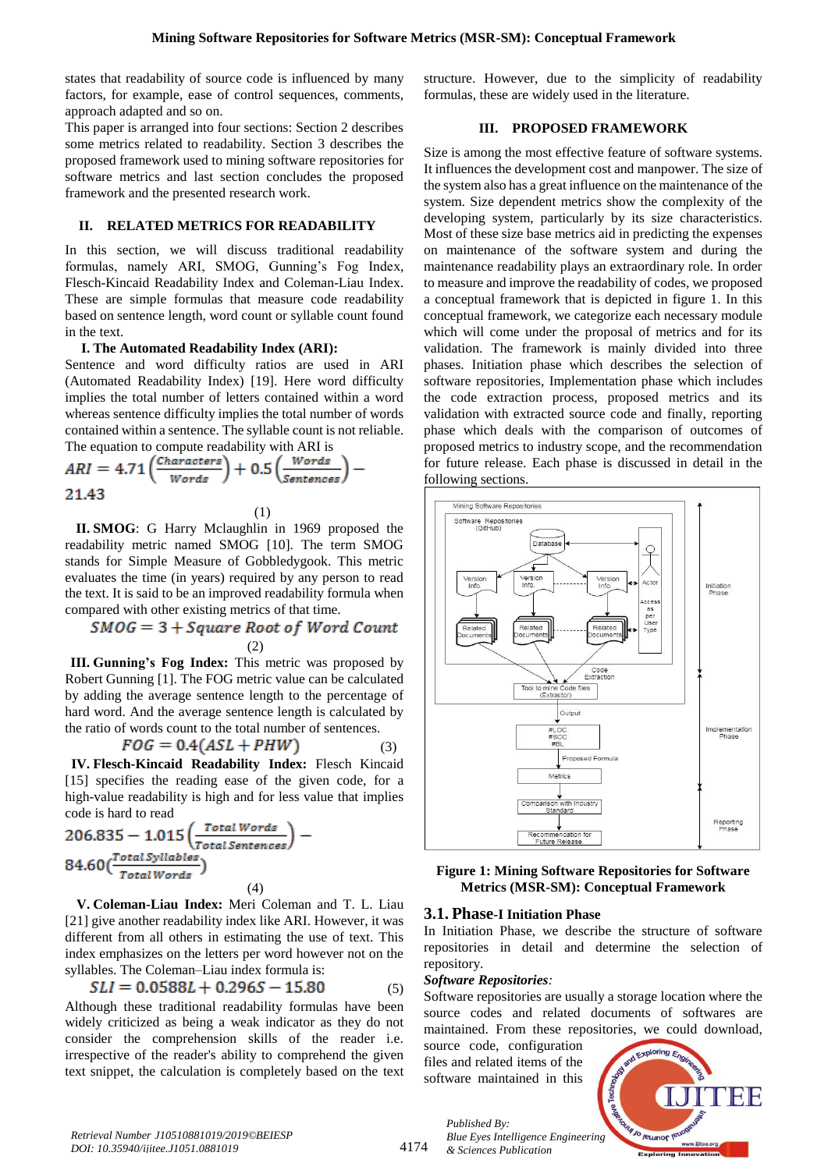states that readability of source code is influenced by many factors, for example, ease of control sequences, comments, approach adapted and so on.

This paper is arranged into four sections: Section 2 describes some metrics related to readability. Section 3 describes the proposed framework used to mining software repositories for software metrics and last section concludes the proposed framework and the presented research work.

#### **II. RELATED METRICS FOR READABILITY**

In this section, we will discuss traditional readability formulas, namely ARI, SMOG, Gunning's Fog Index, Flesch-Kincaid Readability Index and Coleman-Liau Index. These are simple formulas that measure code readability based on sentence length, word count or syllable count found in the text.

## **I. The Automated Readability Index (ARI):**

Sentence and word difficulty ratios are used in ARI (Automated Readability Index) [19]. Here word difficulty implies the total number of letters contained within a word whereas sentence difficulty implies the total number of words contained within a sentence. The syllable count is not reliable. The equation to compute readability with ARI is

$$
ARI = 4.71 \left( \frac{Characters}{Words} \right) + 0.5 \left( \frac{Words}{Sentences} \right) - 21.43
$$

(1)

**II. SMOG**: G Harry Mclaughlin in 1969 proposed the readability metric named SMOG [10]. The term SMOG stands for Simple Measure of Gobbledygook. This metric evaluates the time (in years) required by any person to read the text. It is said to be an improved readability formula when compared with other existing metrics of that time.

$$
SMOG = 3 + Square Root of Word Count
$$
  
(2)

**III. Gunning's Fog Index:** This metric was proposed by Robert Gunning [1]. The FOG metric value can be calculated by adding the average sentence length to the percentage of hard word. And the average sentence length is calculated by the ratio of words count to the total number of sentences.

$$
FOG = 0.4(ASL + PHW)
$$

(3) **IV. Flesch-Kincaid Readability Index:** Flesch Kincaid [15] specifies the reading ease of the given code, for a high-value readability is high and for less value that implies code is hard to read

$$
206.835 - 1.015 \left( \frac{Total Words}{Total Sentences} \right) - 84.60 \left( \frac{Total Syllables}{Total Words} \right)
$$
\n(4)

**V. Coleman-Liau Index:** Meri Coleman and T. L. Liau [21] give another readability index like ARI. However, it was different from all others in estimating the use of text. This index emphasizes on the letters per word however not on the syllables. The Coleman–Liau index formula is:

$$
SLI = 0.0588L + 0.296S - 15.80\tag{5}
$$

Although these traditional readability formulas have been widely criticized as being a weak indicator as they do not consider the comprehension skills of the reader i.e. irrespective of the reader's ability to comprehend the given text snippet, the calculation is completely based on the text

structure. However, due to the simplicity of readability formulas, these are widely used in the literature.

## **III. PROPOSED FRAMEWORK**

Size is among the most effective feature of software systems. It influences the development cost and manpower. The size of the system also has a great influence on the maintenance of the system. Size dependent metrics show the complexity of the developing system, particularly by its size characteristics. Most of these size base metrics aid in predicting the expenses on maintenance of the software system and during the maintenance readability plays an extraordinary role. In order to measure and improve the readability of codes, we proposed a conceptual framework that is depicted in figure 1. In this conceptual framework, we categorize each necessary module which will come under the proposal of metrics and for its validation. The framework is mainly divided into three phases. Initiation phase which describes the selection of software repositories, Implementation phase which includes the code extraction process, proposed metrics and its validation with extracted source code and finally, reporting phase which deals with the comparison of outcomes of proposed metrics to industry scope, and the recommendation for future release. Each phase is discussed in detail in the following sections.



**Figure 1: Mining Software Repositories for Software Metrics (MSR-SM): Conceptual Framework**

## **3.1. Phase-I Initiation Phase**

In Initiation Phase, we describe the structure of software repositories in detail and determine the selection of repository.

#### *Software Repositories:*

*Published By:*

Software repositories are usually a storage location where the source codes and related documents of softwares are maintained. From these repositories, we could download,

source code, configuration files and related items of the software maintained in this

*& Sciences Publication* 

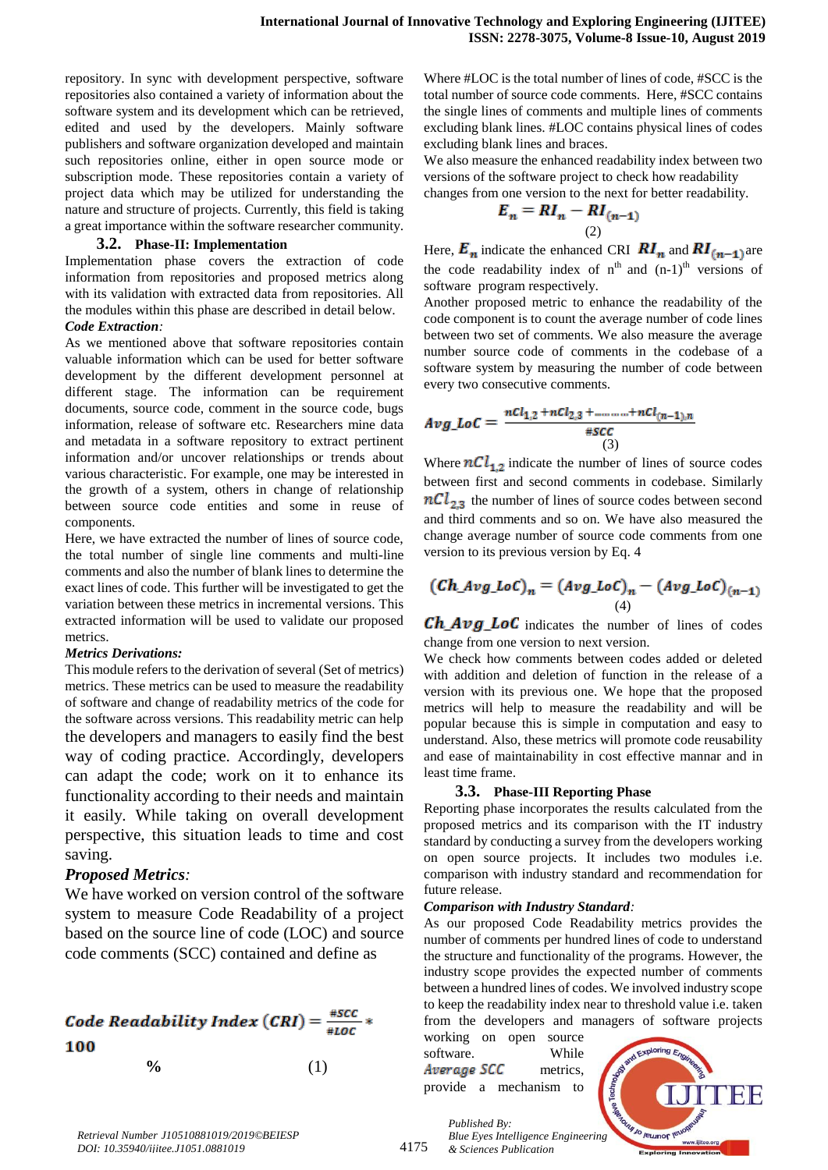repository. In sync with development perspective, software repositories also contained a variety of information about the software system and its development which can be retrieved, edited and used by the developers. Mainly software publishers and software organization developed and maintain such repositories online, either in open source mode or subscription mode. These repositories contain a variety of project data which may be utilized for understanding the nature and structure of projects. Currently, this field is taking a great importance within the software researcher community.

#### **3.2. Phase-II: Implementation**

Implementation phase covers the extraction of code information from repositories and proposed metrics along with its validation with extracted data from repositories. All the modules within this phase are described in detail below.

#### *Code Extraction:*

As we mentioned above that software repositories contain valuable information which can be used for better software development by the different development personnel at different stage. The information can be requirement documents, source code, comment in the source code, bugs information, release of software etc. Researchers mine data and metadata in a software repository to extract pertinent information and/or uncover relationships or trends about various characteristic. For example, one may be interested in the growth of a system, others in change of relationship between source code entities and some in reuse of components.

Here, we have extracted the number of lines of source code, the total number of single line comments and multi-line comments and also the number of blank lines to determine the exact lines of code. This further will be investigated to get the variation between these metrics in incremental versions. This extracted information will be used to validate our proposed metrics.

#### *Metrics Derivations:*

This module refers to the derivation of several (Set of metrics) metrics. These metrics can be used to measure the readability of software and change of readability metrics of the code for the software across versions. This readability metric can help the developers and managers to easily find the best way of coding practice. Accordingly, developers can adapt the code; work on it to enhance its functionality according to their needs and maintain it easily. While taking on overall development perspective, this situation leads to time and cost saving.

# *Proposed Metrics:*

We have worked on version control of the software system to measure Code Readability of a project based on the source line of code (LOC) and source code comments (SCC) contained and define as



Where #LOC is the total number of lines of code, #SCC is the total number of source code comments. Here, #SCC contains the single lines of comments and multiple lines of comments excluding blank lines. #LOC contains physical lines of codes excluding blank lines and braces.

We also measure the enhanced readability index between two versions of the software project to check how readability changes from one version to the next for better readability.

$$
E_n = RI_n - RI_{(n-1)}
$$
  
(2)

Here,  $E_n$  indicate the enhanced CRI  $RI_n$  and  $RI_{(n-1)}$  are the code readability index of  $n<sup>th</sup>$  and  $(n-1)<sup>th</sup>$  versions of software program respectively.

Another proposed metric to enhance the readability of the code component is to count the average number of code lines between two set of comments. We also measure the average number source code of comments in the codebase of a software system by measuring the number of code between every tw[o consecutive](https://www.google.com/search?q=consecutive&spell=1&sa=X&ved=0ahUKEwjEiZv5mpzgAhWKdn0KHbolCoQQBQgrKAA) comments.

$$
Avg\_LoC = \frac{ncl_{1,2} + nCl_{2,3} + \dots + nCl_{(n-1),n}}{*SCC}
$$
<sup>(3)</sup>

Where  $nCl_{1,2}$  indicate the number of lines of source codes between first and second comments in codebase. Similarly  $nCl_{2,3}$  the number of lines of source codes between second and third comments and so on. We have also measured the change average number of source code comments from one version to its previous version by Eq. 4

$$
(Ch\_Avg\_LoC)_n = (Avg\_LoC)_n - (Avg\_LoC)_{(n-1)}
$$
  
(4)

 $Ch_Avg\_LoC$  indicates the number of lines of codes change from one version to next version.

We check how comments between codes added or deleted with addition and deletion of function in the release of a version with its previous one. We hope that the proposed metrics will help to measure the readability and will be popular because this is simple in computation and easy to understand. Also, these metrics will promote code reusability and ease of maintainability in cost effective mannar and in least time frame.

## **3.3. Phase-III Reporting Phase**

Reporting phase incorporates the results calculated from the proposed metrics and its comparison with the IT industry standard by conducting a survey from the developers working on open source projects. It includes two modules i.e. comparison with industry standard and recommendation for future release.

## *Comparison with Industry Standard:*

As our proposed Code Readability metrics provides the number of comments per hundred lines of code to understand the structure and functionality of the programs. However, the industry scope provides the expected number of comments between a hundred lines of codes. We involved industry scope to keep the readability index near to threshold value i.e. taken from the developers and managers of software projects

| working on open source |  |          |  |
|------------------------|--|----------|--|
| software.              |  | While    |  |
| Average SCC            |  | metrics. |  |
| provide a mechanism to |  |          |  |



*Retrieval Number J10510881019/2019©BEIESP DOI: 10.35940/ijitee.J1051.0881019*

4175

*Published By: Blue Eyes Intelligence Engineering & Sciences Publication*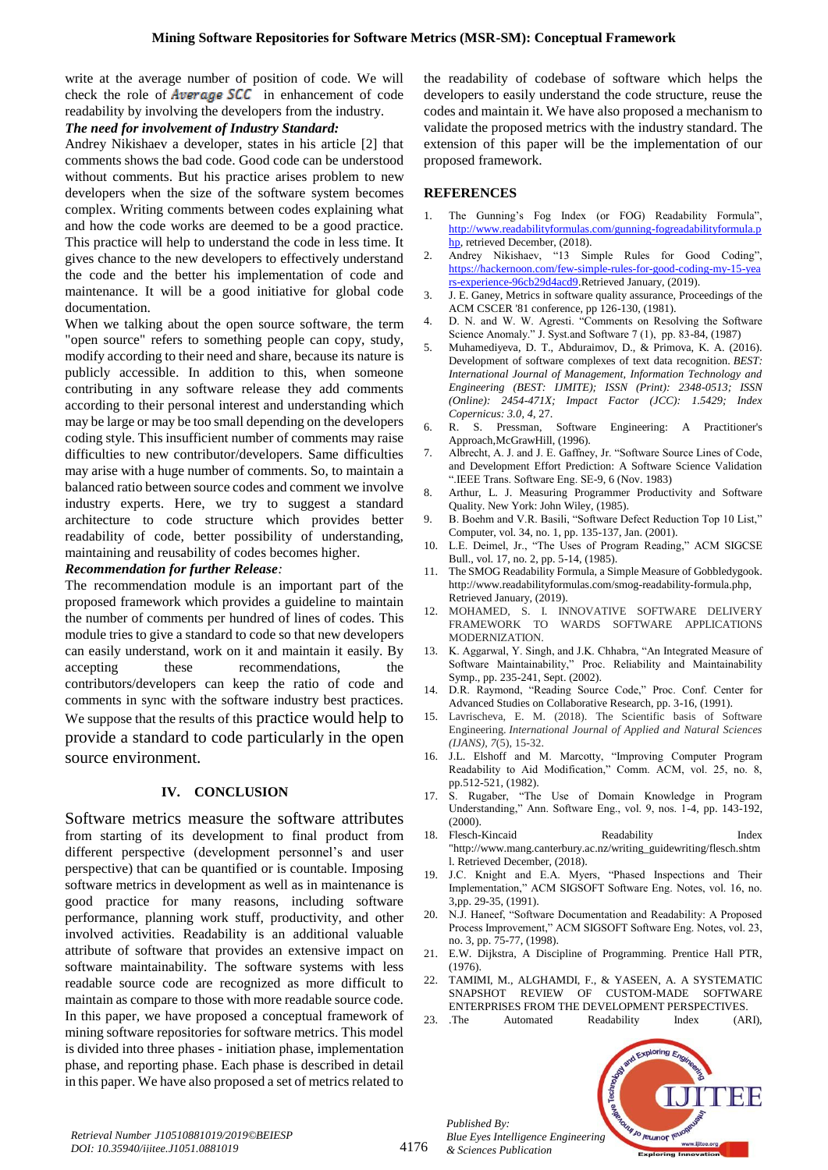write at the average number of position of code. We will check the role of Average SCC in enhancement of code readability by involving the developers from the industry.

#### *The need for involvement of Industry Standard:*

Andrey Nikishaev a developer, states in his article [2] that comments shows the bad code. Good code can be understood without comments. But his practice arises problem to new developers when the size of the software system becomes complex. Writing comments between codes explaining what and how the code works are deemed to be a good practice. This practice will help to understand the code in less time. It gives chance to the new developers to effectively understand the code and the better his implementation of code and maintenance. It will be a good initiative for global code documentation.

When we talking about the open source software, the term "open source" refers to something people can copy, study, modify according to their need and share, because its nature is publicly accessible. In addition to this, when someone contributing in any software release they add comments according to their personal interest and understanding which may be large or may be too small depending on the developers coding style. This insufficient number of comments may raise difficulties to new contributor/developers. Same difficulties may arise with a huge number of comments. So, to maintain a balanced ratio between source codes and comment we involve industry experts. Here, we try to suggest a standard architecture to code structure which provides better readability of code, better possibility of understanding, maintaining and reusability of codes becomes higher.

## *Recommendation for further Release:*

The recommendation module is an important part of the proposed framework which provides a guideline to maintain the number of comments per hundred of lines of codes. This module tries to give a standard to code so that new developers can easily understand, work on it and maintain it easily. By accepting these recommendations, the contributors/developers can keep the ratio of code and comments in sync with the software industry best practices. We suppose that the results of this practice would help to provide a standard to code particularly in the open source environment.

#### **IV. CONCLUSION**

Software metrics measure the software attributes from starting of its development to final product from different perspective (development personnel's and user perspective) that can be quantified or is countable. Imposing software metrics in development as well as in maintenance is good practice for many reasons, including software performance, planning work stuff, productivity, and other involved activities. Readability is an additional valuable attribute of software that provides an extensive impact on software maintainability. The software systems with less readable source code are recognized as more difficult to maintain as compare to those with more readable source code. In this paper, we have proposed a conceptual framework of mining software repositories for software metrics. This model is divided into three phases - initiation phase, implementation phase, and reporting phase. Each phase is described in detail in this paper. We have also proposed a set of metrics related to

the readability of codebase of software which helps the developers to easily understand the code structure, reuse the codes and maintain it. We have also proposed a mechanism to validate the proposed metrics with the industry standard. The extension of this paper will be the implementation of our proposed framework.

#### **REFERENCES**

- 1. The Gunning's Fog Index (or FOG) Readability Formula", [http://www.readabilityformulas.com/gunning-fogreadabilityformula.p](http://www.readabilityformulas.com/gunning-fogreadabilityformula.php) [hp,](http://www.readabilityformulas.com/gunning-fogreadabilityformula.php) retrieved December, (2018).
- 2. Andrey Nikishaev, "13 Simple Rules for Good Coding", [https://hackernoon.com/few-simple-rules-for-good-coding-my-15-yea](https://hackernoon.com/few-simple-rules-for-good-coding-my-15-years-experience-96cb29d4acd9) [rs-experience-96cb29d4acd9.](https://hackernoon.com/few-simple-rules-for-good-coding-my-15-years-experience-96cb29d4acd9)Retrieved January, (2019).
- 3. J. E. Ganey, Metrics in software quality assurance, Proceedings of the ACM CSCER '81 conference, pp 126-130, (1981).
- 4. D. N. and W. W. Agresti. "Comments on Resolving the Software Science Anomaly." J. Syst.and Software 7 (1), pp. 83-84, (1987)
- 5. Muhamediyeva, D. T., Abduraimov, D., & Primova, K. A. (2016). Development of software complexes of text data recognition. *BEST: International Journal of Management, Information Technology and Engineering (BEST: IJMITE); ISSN (Print): 2348-0513; ISSN (Online): 2454-471X; Impact Factor (JCC): 1.5429; Index Copernicus: 3.0*, *4*, 27.
- 6. R. S. Pressman, Software Engineering: A Practitioner's Approach,McGrawHill, (1996).
- 7. Albrecht, A. J. and J. E. Gaffney, Jr. "Software Source Lines of Code, and Development Effort Prediction: A Software Science Validation ".IEEE Trans. Software Eng. SE-9, 6 (Nov. 1983)
- 8. Arthur, L. J. Measuring Programmer Productivity and Software Quality. New York: John Wiley, (1985).
- 9. B. Boehm and V.R. Basili, "Software Defect Reduction Top 10 List," Computer, vol. 34, no. 1, pp. 135-137, Jan. (2001).
- 10. L.E. Deimel, Jr., "The Uses of Program Reading," ACM SIGCSE Bull., vol. 17, no. 2, pp. 5-14, (1985).
- 11. The SMOG Readability Formula, a Simple Measure of Gobbledygook. http://www.readabilityformulas.com/smog-readability-formula.php, Retrieved January, (2019).
- 12. MOHAMED, S. I. INNOVATIVE SOFTWARE DELIVERY FRAMEWORK TO WARDS SOFTWARE APPLICATIONS MODERNIZATION.
- 13. K. Aggarwal, Y. Singh, and J.K. Chhabra, "An Integrated Measure of Software Maintainability," Proc. Reliability and Maintainability Symp., pp. 235-241, Sept. (2002).
- 14. D.R. Raymond, "Reading Source Code," Proc. Conf. Center for Advanced Studies on Collaborative Research, pp. 3-16, (1991).
- 15. Lavrischeva, E. M. (2018). The Scientific basis of Software Engineering. *International Journal of Applied and Natural Sciences (IJANS)*, *7*(5), 15-32.
- 16. J.L. Elshoff and M. Marcotty, "Improving Computer Program Readability to Aid Modification," Comm. ACM, vol. 25, no. 8, pp.512-521, (1982).
- 17. S. Rugaber, "The Use of Domain Knowledge in Program Understanding," Ann. Software Eng., vol. 9, nos. 1-4, pp. 143-192, (2000).
- 18. Flesch-Kincaid Readability Index "http://www.mang.canterbury.ac.nz/writing\_guidewriting/flesch.shtm l. Retrieved December, (2018).
- 19. J.C. Knight and E.A. Myers, "Phased Inspections and Their Implementation," ACM SIGSOFT Software Eng. Notes, vol. 16, no. 3,pp. 29-35, (1991).
- 20. N.J. Haneef, "Software Documentation and Readability: A Proposed Process Improvement," ACM SIGSOFT Software Eng. Notes, vol. 23, no. 3, pp. 75-77, (1998).
- 21. E.W. Dijkstra, A Discipline of Programming. Prentice Hall PTR, (1976).
- 22. TAMIMI, M., ALGHAMDI, F., & YASEEN, A. A SYSTEMATIC SNAPSHOT REVIEW OF CUSTOM-MADE SOFTWARE ENTERPRISES FROM THE DEVELOPMENT PERSPECTIVES.
- 23. The Automated Readability Index (ARI),



*Published By:*

*& Sciences Publication*